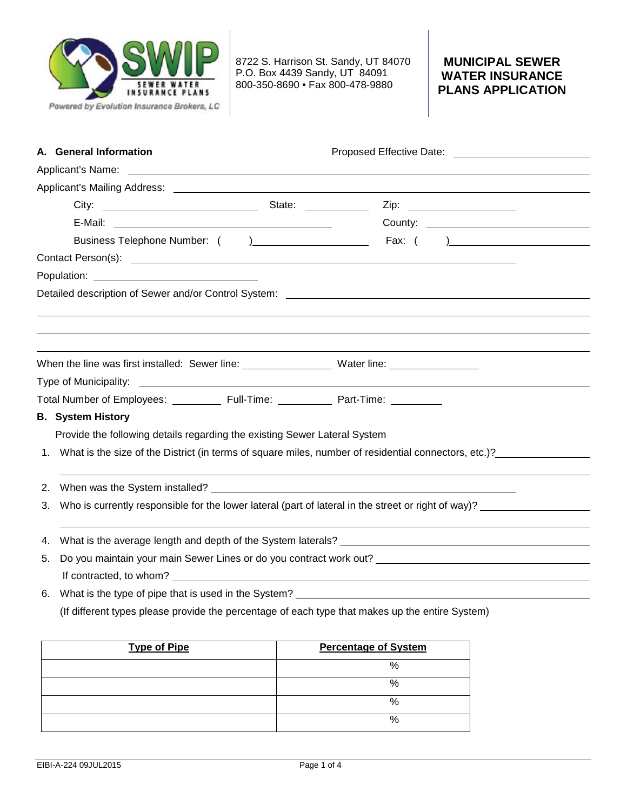

8722 S. Harrison St. Sandy, UT 84070 P.O. Box 4439 Sandy, UT 84091 800-350-8690 • Fax 800-478-9880

## **MUNICIPAL SEWER WATER INSURANCE PLANS APPLICATION**

| A. General Information   |                                                                                                                                                                                                                                      |                                                                                                                                                                                                                                      |                                                                                                                                                                                                                               |
|--------------------------|--------------------------------------------------------------------------------------------------------------------------------------------------------------------------------------------------------------------------------------|--------------------------------------------------------------------------------------------------------------------------------------------------------------------------------------------------------------------------------------|-------------------------------------------------------------------------------------------------------------------------------------------------------------------------------------------------------------------------------|
|                          | Applicant's Name: <u>contract the contract of the contract of the contract of the contract of the contract of the contract of the contract of the contract of the contract of the contract of the contract of the contract of th</u> |                                                                                                                                                                                                                                      |                                                                                                                                                                                                                               |
|                          |                                                                                                                                                                                                                                      |                                                                                                                                                                                                                                      |                                                                                                                                                                                                                               |
|                          |                                                                                                                                                                                                                                      |                                                                                                                                                                                                                                      |                                                                                                                                                                                                                               |
|                          |                                                                                                                                                                                                                                      |                                                                                                                                                                                                                                      |                                                                                                                                                                                                                               |
|                          |                                                                                                                                                                                                                                      |                                                                                                                                                                                                                                      |                                                                                                                                                                                                                               |
|                          |                                                                                                                                                                                                                                      |                                                                                                                                                                                                                                      |                                                                                                                                                                                                                               |
|                          |                                                                                                                                                                                                                                      |                                                                                                                                                                                                                                      |                                                                                                                                                                                                                               |
|                          |                                                                                                                                                                                                                                      |                                                                                                                                                                                                                                      |                                                                                                                                                                                                                               |
|                          |                                                                                                                                                                                                                                      |                                                                                                                                                                                                                                      |                                                                                                                                                                                                                               |
|                          |                                                                                                                                                                                                                                      |                                                                                                                                                                                                                                      |                                                                                                                                                                                                                               |
|                          |                                                                                                                                                                                                                                      |                                                                                                                                                                                                                                      |                                                                                                                                                                                                                               |
|                          |                                                                                                                                                                                                                                      | When the line was first installed: Sewer line: ___________________Water line: ______________________                                                                                                                                 |                                                                                                                                                                                                                               |
|                          |                                                                                                                                                                                                                                      |                                                                                                                                                                                                                                      |                                                                                                                                                                                                                               |
|                          |                                                                                                                                                                                                                                      | Total Number of Employees: ____________ Full-Time: ____________ Part-Time: __________                                                                                                                                                |                                                                                                                                                                                                                               |
| <b>B.</b> System History |                                                                                                                                                                                                                                      |                                                                                                                                                                                                                                      |                                                                                                                                                                                                                               |
|                          | Provide the following details regarding the existing Sewer Lateral System                                                                                                                                                            |                                                                                                                                                                                                                                      |                                                                                                                                                                                                                               |
|                          |                                                                                                                                                                                                                                      | 1. What is the size of the District (in terms of square miles, number of residential connectors, etc.)?                                                                                                                              |                                                                                                                                                                                                                               |
|                          |                                                                                                                                                                                                                                      |                                                                                                                                                                                                                                      |                                                                                                                                                                                                                               |
| 2.                       |                                                                                                                                                                                                                                      |                                                                                                                                                                                                                                      |                                                                                                                                                                                                                               |
| 3.                       |                                                                                                                                                                                                                                      | Who is currently responsible for the lower lateral (part of lateral in the street or right of way)?                                                                                                                                  |                                                                                                                                                                                                                               |
|                          |                                                                                                                                                                                                                                      |                                                                                                                                                                                                                                      |                                                                                                                                                                                                                               |
| 4.                       |                                                                                                                                                                                                                                      |                                                                                                                                                                                                                                      | What is the average length and depth of the System laterals? [14] Manus Lateral Annual Manus Lateral Annual Ma                                                                                                                |
| 5.                       |                                                                                                                                                                                                                                      |                                                                                                                                                                                                                                      | Do you maintain your main Sewer Lines or do you contract work out? Letter that the state of the state of the state of the state of the state of the state of the state of the state of the state of the state of the state of |
|                          |                                                                                                                                                                                                                                      | If contracted, to whom? <u>example and the set of the set of the set of the set of the set of the set of the set of the set of the set of the set of the set of the set of the set of the set of the set of the set of the set o</u> |                                                                                                                                                                                                                               |
| 6.                       |                                                                                                                                                                                                                                      |                                                                                                                                                                                                                                      |                                                                                                                                                                                                                               |
|                          |                                                                                                                                                                                                                                      | (If different types please provide the percentage of each type that makes up the entire System)                                                                                                                                      |                                                                                                                                                                                                                               |

| <b>Type of Pipe</b> | <b>Percentage of System</b> |
|---------------------|-----------------------------|
|                     | %                           |
|                     | %                           |
|                     | %                           |
|                     | %                           |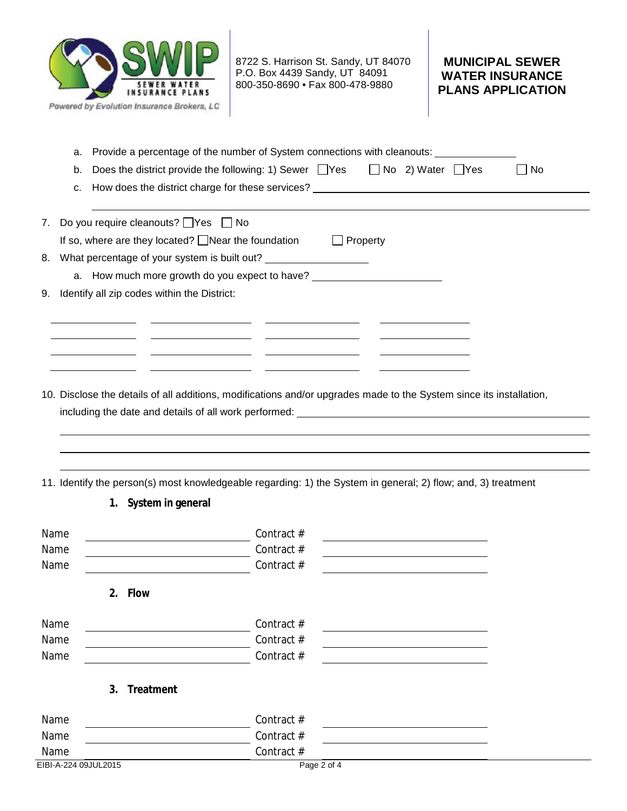

8722 S. Harrison St. Sandy, UT 84070 P.O. Box 4439 Sandy, UT 84091 800-350-8690 • Fax 800-478-9880

## **MUNICIPAL SEWER WATER INSURANCE PLANS APPLICATION**

| a.      | Provide a percentage of the number of System connections with cleanouts:                                            |
|---------|---------------------------------------------------------------------------------------------------------------------|
| b.      | Does the district provide the following: 1) Sewer □ Yes □ No 2) Water □ Yes<br>$\square$ No                         |
| c.      | How does the district charge for these services? ________________________________                                   |
|         |                                                                                                                     |
| 7.      | Do you require cleanouts? $\Box$ Yes $\Box$ No                                                                      |
|         | If so, where are they located? $\Box$ Near the foundation $\Box$ Property                                           |
| 8.      | What percentage of your system is built out? ___________________________________                                    |
|         | a. How much more growth do you expect to have?                                                                      |
| 9.      | Identify all zip codes within the District:                                                                         |
|         |                                                                                                                     |
|         |                                                                                                                     |
|         |                                                                                                                     |
|         |                                                                                                                     |
|         |                                                                                                                     |
|         | 10. Disclose the details of all additions, modifications and/or upgrades made to the System since its installation, |
|         |                                                                                                                     |
|         |                                                                                                                     |
|         |                                                                                                                     |
|         |                                                                                                                     |
|         | 11. Identify the person(s) most knowledgeable regarding: 1) the System in general; 2) flow; and, 3) treatment       |
|         | 1. System in general                                                                                                |
|         |                                                                                                                     |
| Name    | Contract #<br><u> 1980 - Johann Barn, amerikansk politiker (d. 1980)</u>                                            |
| Name    | Contract #<br><u> 1989 - Johann Stoff, fransk politik (d. 1989)</u>                                                 |
| Name    | Contract #                                                                                                          |
|         |                                                                                                                     |
| 2. Flow |                                                                                                                     |
| Name    | Contract #                                                                                                          |
| Name    | Contract #                                                                                                          |
| Name    | Contract #                                                                                                          |
|         |                                                                                                                     |
| 3.      | Treatment                                                                                                           |
|         |                                                                                                                     |
| Name    | Contract #                                                                                                          |
| Name    | Contract #                                                                                                          |
| Name    | Contract #                                                                                                          |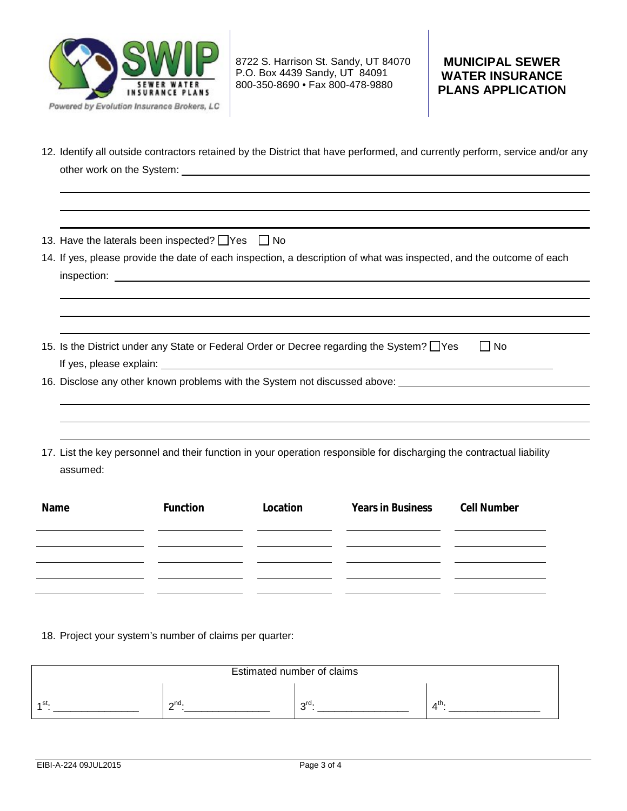

8722 S. Harrison St. Sandy, UT 84070 P.O. Box 4439 Sandy, UT 84091 800-350-8690 • Fax 800-478-9880

# **MUNICIPAL SEWER WATER INSURANCE PLANS APPLICATION**

12. Identify all outside contractors retained by the District that have performed, and currently perform, service and/or any other work on the System:

13. Have the laterals been inspected?  $\Box$  Yes  $\Box$  No

14. If yes, please provide the date of each inspection, a description of what was inspected, and the outcome of each inspection:

15. Is the District under any State or Federal Order or Decree regarding the System?  $\Box$  Yes  $\Box$  No If yes, please explain:

16. Disclose any other known problems with the System not discussed above:

17. List the key personnel and their function in your operation responsible for discharging the contractual liability assumed:

| Name | Function | Location | <b>Years in Business</b> | <b>Cell Number</b> |
|------|----------|----------|--------------------------|--------------------|
|      |          |          |                          |                    |
|      |          |          |                          |                    |
|      |          |          |                          |                    |
|      |          |          |                          |                    |

18. Project your system's number of claims per quarter:

| Estimated number of claims |           |                 |     |  |
|----------------------------|-----------|-----------------|-----|--|
| - 20                       | $\sim$ nd | $\sim$ rd<br>۰. | ⊿th |  |